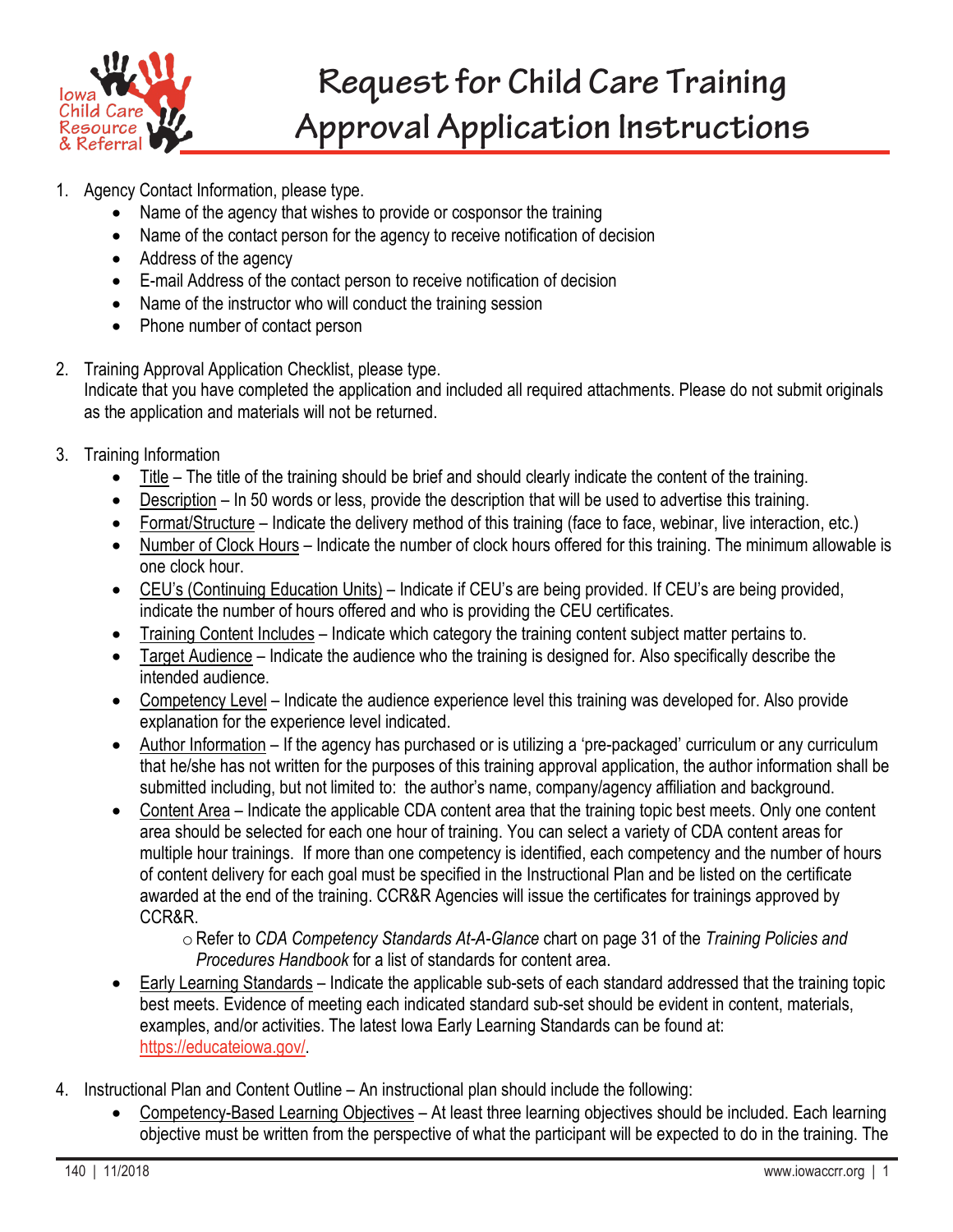

## **Request for Child Care Training Approval Application Instructions**

- 1. Agency Contact Information, please type.
	- Name of the agency that wishes to provide or cosponsor the training
	- Name of the contact person for the agency to receive notification of decision
	- Address of the agency
	- E-mail Address of the contact person to receive notification of decision
	- Name of the instructor who will conduct the training session
	- Phone number of contact person
- 2. Training Approval Application Checklist, please type. Indicate that you have completed the application and included all required attachments. Please do not submit originals as the application and materials will not be returned.
- 3. Training Information
	- Title The title of the training should be brief and should clearly indicate the content of the training.
	- Description In 50 words or less, provide the description that will be used to advertise this training.
	- Format/Structure Indicate the delivery method of this training (face to face, webinar, live interaction, etc.)
	- Number of Clock Hours Indicate the number of clock hours offered for this training. The minimum allowable is one clock hour.
	- CEU's (Continuing Education Units) Indicate if CEU's are being provided. If CEU's are being provided, indicate the number of hours offered and who is providing the CEU certificates.
	- Training Content Includes Indicate which category the training content subject matter pertains to.
	- Target Audience Indicate the audience who the training is designed for. Also specifically describe the intended audience.
	- Competency Level Indicate the audience experience level this training was developed for. Also provide explanation for the experience level indicated.
	- Author Information If the agency has purchased or is utilizing a 'pre-packaged' curriculum or any curriculum that he/she has not written for the purposes of this training approval application, the author information shall be submitted including, but not limited to: the author's name, company/agency affiliation and background.
	- Content Area Indicate the applicable CDA content area that the training topic best meets. Only one content area should be selected for each one hour of training. You can select a variety of CDA content areas for multiple hour trainings. If more than one competency is identified, each competency and the number of hours of content delivery for each goal must be specified in the Instructional Plan and be listed on the certificate awarded at the end of the training. CCR&R Agencies will issue the certificates for trainings approved by CCR&R.

oRefer to *CDA Competency Standards At-A-Glance* chart on page 31 of the *Training Policies and Procedures Handbook* for a list of standards for content area.

- Early Learning Standards Indicate the applicable sub-sets of each standard addressed that the training topic best meets. Evidence of meeting each indicated standard sub-set should be evident in content, materials, examples, and/or activities. The latest Iowa Early Learning Standards can be found at: [https://educateiowa.gov/.](https://educateiowa.gov/)
- 4. Instructional Plan and Content Outline An instructional plan should include the following:
	- Competency-Based Learning Objectives At least three learning objectives should be included. Each learning objective must be written from the perspective of what the participant will be expected to do in the training. The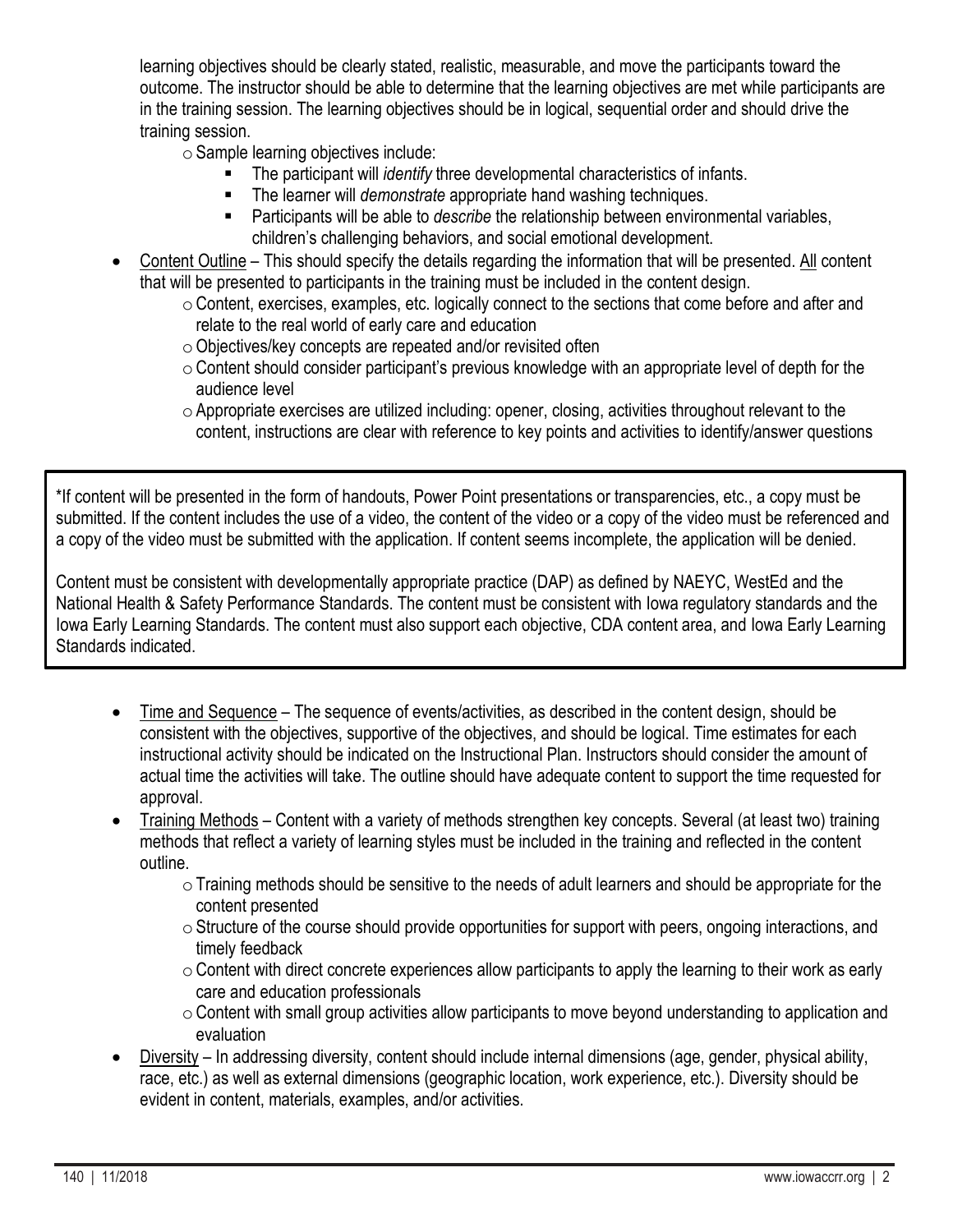learning objectives should be clearly stated, realistic, measurable, and move the participants toward the outcome. The instructor should be able to determine that the learning objectives are met while participants are in the training session. The learning objectives should be in logical, sequential order and should drive the training session.

 $\circ$  Sample learning objectives include:

- The participant will *identify* three developmental characteristics of infants.
- The learner will *demonstrate* appropriate hand washing techniques.
- Participants will be able to *describe* the relationship between environmental variables, children's challenging behaviors, and social emotional development.
- Content Outline This should specify the details regarding the information that will be presented. All content that will be presented to participants in the training must be included in the content design.
	- $\circ$  Content, exercises, examples, etc. logically connect to the sections that come before and after and relate to the real world of early care and education
	- $\circ$  Objectives/key concepts are repeated and/or revisited often
	- $\circ$  Content should consider participant's previous knowledge with an appropriate level of depth for the audience level
	- $\circ$  Appropriate exercises are utilized including: opener, closing, activities throughout relevant to the content, instructions are clear with reference to key points and activities to identify/answer questions

\*If content will be presented in the form of handouts, Power Point presentations or transparencies, etc., a copy must be submitted. If the content includes the use of a video, the content of the video or a copy of the video must be referenced and a copy of the video must be submitted with the application. If content seems incomplete, the application will be denied.

Content must be consistent with developmentally appropriate practice (DAP) as defined by NAEYC, WestEd and the National Health & Safety Performance Standards. The content must be consistent with Iowa regulatory standards and the Iowa Early Learning Standards. The content must also support each objective, CDA content area, and Iowa Early Learning Standards indicated.

- Time and Sequence The sequence of events/activities, as described in the content design, should be consistent with the objectives, supportive of the objectives, and should be logical. Time estimates for each instructional activity should be indicated on the Instructional Plan. Instructors should consider the amount of actual time the activities will take. The outline should have adequate content to support the time requested for approval.
- Training Methods Content with a variety of methods strengthen key concepts. Several (at least two) training methods that reflect a variety of learning styles must be included in the training and reflected in the content outline.
	- $\circ$  Training methods should be sensitive to the needs of adult learners and should be appropriate for the content presented
	- $\circ$  Structure of the course should provide opportunities for support with peers, ongoing interactions, and timely feedback
	- $\circ$  Content with direct concrete experiences allow participants to apply the learning to their work as early care and education professionals
	- $\circ$  Content with small group activities allow participants to move beyond understanding to application and evaluation
- Diversity In addressing diversity, content should include internal dimensions (age, gender, physical ability, race, etc.) as well as external dimensions (geographic location, work experience, etc.). Diversity should be evident in content, materials, examples, and/or activities.